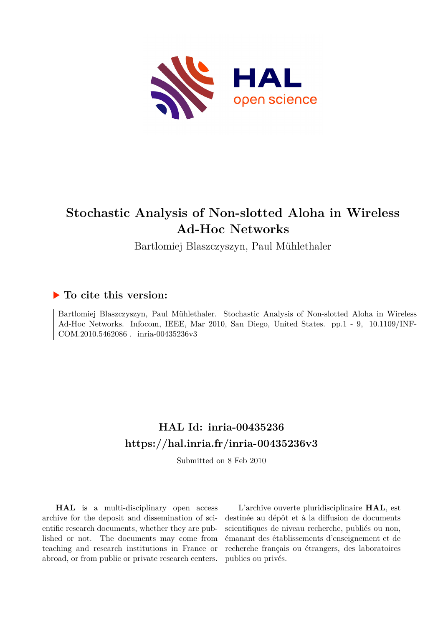

## **Stochastic Analysis of Non-slotted Aloha in Wireless Ad-Hoc Networks**

Bartlomiej Blaszczyszyn, Paul Mühlethaler

### **To cite this version:**

Bartlomiej Blaszczyszyn, Paul Mühlethaler. Stochastic Analysis of Non-slotted Aloha in Wireless Ad-Hoc Networks. Infocom, IEEE, Mar 2010, San Diego, United States. pp.1 - 9, 10.1109/INF- $COM.2010.5462086$ . inria-00435236v3

## **HAL Id: inria-00435236 <https://hal.inria.fr/inria-00435236v3>**

Submitted on 8 Feb 2010

**HAL** is a multi-disciplinary open access archive for the deposit and dissemination of scientific research documents, whether they are published or not. The documents may come from teaching and research institutions in France or abroad, or from public or private research centers.

L'archive ouverte pluridisciplinaire **HAL**, est destinée au dépôt et à la diffusion de documents scientifiques de niveau recherche, publiés ou non, émanant des établissements d'enseignement et de recherche français ou étrangers, des laboratoires publics ou privés.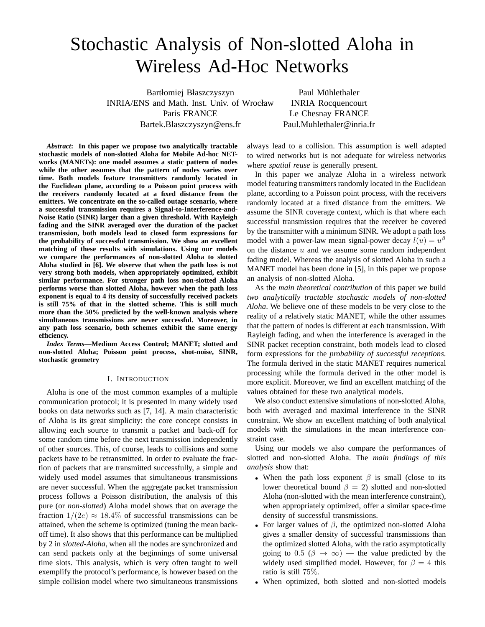# Stochastic Analysis of Non-slotted Aloha in Wireless Ad-Hoc Networks

Bartłomiej Błaszczyszyn Paul Mühlethaler INRIA/ENS and Math. Inst. Univ. of Wrocław INRIA Rocquencourt Paris FRANCE Le Chesnay FRANCE Bartek.Blaszczyszyn@ens.fr Paul.Muhlethaler@inria.fr

*Abstract***: In this paper we propose two analytically tractable stochastic models of non-slotted Aloha for Mobile Ad-hoc NETworks (MANETs): one model assumes a static pattern of nodes while the other assumes that the pattern of nodes varies over time. Both models feature transmitters randomly located in the Euclidean plane, according to a Poisson point process with the receivers randomly located at a fixed distance from the emitters. We concentrate on the so-called outage scenario, where a successful transmission requires a Signal-to-Interference-and-Noise Ratio (SINR) larger than a given threshold. With Rayleigh fading and the SINR averaged over the duration of the packet transmission, both models lead to closed form expressions for the probability of successful transmission. We show an excellent matching of these results with simulations. Using our models we compare the performances of non-slotted Aloha to slotted Aloha studied in [6]. We observe that when the path loss is not very strong both models, when appropriately optimized, exhibit similar performance. For stronger path loss non-slotted Aloha performs worse than slotted Aloha, however when the path loss exponent is equal to 4 its density of successfully received packets is still 75% of that in the slotted scheme. This is still much more than the 50% predicted by the well-known analysis where simultaneous transmissions are never successful. Moreover, in any path loss scenario, both schemes exhibit the same energy efficiency.**

*Index Terms***—Medium Access Control; MANET; slotted and non-slotted Aloha; Poisson point process, shot-noise, SINR, stochastic geometry**

#### I. INTRODUCTION

Aloha is one of the most common examples of a multiple communication protocol; it is presented in many widely used books on data networks such as [7, 14]. A main characteristic of Aloha is its great simplicity: the core concept consists in allowing each source to transmit a packet and back-off for some random time before the next transmission independently of other sources. This, of course, leads to collisions and some packets have to be retransmitted. In order to evaluate the fraction of packets that are transmitted successfully, a simple and widely used model assumes that simultaneous transmissions are never successful. When the aggregate packet transmission process follows a Poisson distribution, the analysis of this pure (or *non-slotted*) Aloha model shows that on average the fraction  $1/(2e) \approx 18.4\%$  of successful transmissions can be attained, when the scheme is optimized (tuning the mean backoff time). It also shows that this performance can be multiplied by 2 in *slotted-Aloha*, when all the nodes are synchronized and can send packets only at the beginnings of some universal time slots. This analysis, which is very often taught to well exemplify the protocol's performance, is however based on the simple collision model where two simultaneous transmissions always lead to a collision. This assumption is well adapted to wired networks but is not adequate for wireless networks where *spatial reuse* is generally present.

In this paper we analyze Aloha in a wireless network model featuring transmitters randomly located in the Euclidean plane, according to a Poisson point process, with the receivers randomly located at a fixed distance from the emitters. We assume the SINR coverage context, which is that where each successful transmission requires that the receiver be covered by the transmitter with a minimum SINR. We adopt a path loss model with a power-law mean signal-power decay  $l(u) = u^{\beta}$ on the distance  $u$  and we assume some random independent fading model. Whereas the analysis of slotted Aloha in such a MANET model has been done in [5], in this paper we propose an analysis of non-slotted Aloha.

As the *main theoretical contribution* of this paper we build *two analytically tractable stochastic models of non-slotted Aloha*. We believe one of these models to be very close to the reality of a relatively static MANET, while the other assumes that the pattern of nodes is different at each transmission. With Rayleigh fading, and when the interference is averaged in the SINR packet reception constraint, both models lead to closed form expressions for the *probability of successful receptions*. The formula derived in the static MANET requires numerical processing while the formula derived in the other model is more explicit. Moreover, we find an excellent matching of the values obtained for these two analytical models.

We also conduct extensive simulations of non-slotted Aloha, both with averaged and maximal interference in the SINR constraint. We show an excellent matching of both analytical models with the simulations in the mean interference constraint case.

Using our models we also compare the performances of slotted and non-slotted Aloha. The *main findings of this analysis* show that:

- When the path loss exponent  $\beta$  is small (close to its lower theoretical bound  $\beta = 2$ ) slotted and non-slotted Aloha (non-slotted with the mean interference constraint), when appropriately optimized, offer a similar space-time density of successful transmissions.
- For larger values of  $\beta$ , the optimized non-slotted Aloha gives a smaller density of successful transmissions than the optimized slotted Aloha, with the ratio asymptotically going to 0.5 ( $\beta \rightarrow \infty$ ) — the value predicted by the widely used simplified model. However, for  $\beta = 4$  this ratio is still 75%.
- When optimized, both slotted and non-slotted models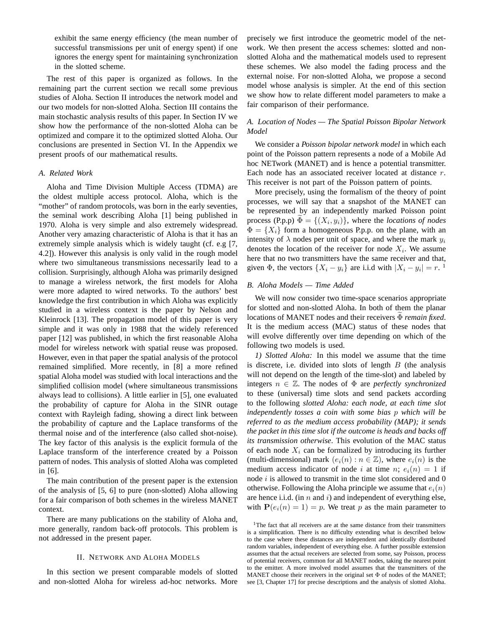exhibit the same energy efficiency (the mean number of successful transmissions per unit of energy spent) if one ignores the energy spent for maintaining synchronization in the slotted scheme.

The rest of this paper is organized as follows. In the remaining part the current section we recall some previous studies of Aloha. Section II introduces the network model and our two models for non-slotted Aloha. Section III contains the main stochastic analysis results of this paper. In Section IV we show how the performance of the non-slotted Aloha can be optimized and compare it to the optimized slotted Aloha. Our conclusions are presented in Section VI. In the Appendix we present proofs of our mathematical results.

#### *A. Related Work*

Aloha and Time Division Multiple Access (TDMA) are the oldest multiple access protocol. Aloha, which is the "mother" of random protocols, was born in the early seventies, the seminal work describing Aloha [1] being published in 1970. Aloha is very simple and also extremely widespread. Another very amazing characteristic of Aloha is that it has an extremely simple analysis which is widely taught (cf. e.g [7, 4.2]). However this analysis is only valid in the rough model where two simultaneous transmissions necessarily lead to a collision. Surprisingly, although Aloha was primarily designed to manage a wireless network, the first models for Aloha were more adapted to wired networks. To the authors' best knowledge the first contribution in which Aloha was explicitly studied in a wireless context is the paper by Nelson and Kleinrock [13]. The propagation model of this paper is very simple and it was only in 1988 that the widely referenced paper [12] was published, in which the first reasonable Aloha model for wireless network with spatial reuse was proposed. However, even in that paper the spatial analysis of the protocol remained simplified. More recently, in [8] a more refined spatial Aloha model was studied with local interactions and the simplified collision model (where simultaneous transmissions always lead to collisions). A little earlier in [5], one evaluated the probability of capture for Aloha in the SINR outage context with Rayleigh fading, showing a direct link between the probability of capture and the Laplace transforms of the thermal noise and of the interference (also called shot-noise). The key factor of this analysis is the explicit formula of the Laplace transform of the interference created by a Poisson pattern of nodes. This analysis of slotted Aloha was completed in [6].

The main contribution of the present paper is the extension of the analysis of [5, 6] to pure (non-slotted) Aloha allowing for a fair comparison of both schemes in the wireless MANET context.

There are many publications on the stability of Aloha and, more generally, random back-off protocols. This problem is not addressed in the present paper.

#### II. NETWORK AND ALOHA MODELS

In this section we present comparable models of slotted and non-slotted Aloha for wireless ad-hoc networks. More

precisely we first introduce the geometric model of the network. We then present the access schemes: slotted and nonslotted Aloha and the mathematical models used to represent these schemes. We also model the fading process and the external noise. For non-slotted Aloha, we propose a second model whose analysis is simpler. At the end of this section we show how to relate different model parameters to make a fair comparison of their performance.

#### *A. Location of Nodes — The Spatial Poisson Bipolar Network Model*

We consider a *Poisson bipolar network model* in which each point of the Poisson pattern represents a node of a Mobile Ad hoc NETwork (MANET) and is hence a potential transmitter. Each node has an associated receiver located at distance r. This receiver is not part of the Poisson pattern of points.

More precisely, using the formalism of the theory of point processes, we will say that a snapshot of the MANET can be represented by an independently marked Poisson point process (P.p.p)  $\Phi = \{(X_i, y_i)\}\$ , where the *locations of nodes*  $\Phi = \{X_i\}$  form a homogeneous P.p.p. on the plane, with an intensity of  $\lambda$  nodes per unit of space, and where the mark  $y_i$ denotes the location of the receiver for node  $X_i$ . We assume here that no two transmitters have the same receiver and that, given  $\Phi$ , the vectors  $\{X_i - y_i\}$  are i.i.d with  $|X_i - y_i| = r$ .<sup>1</sup>

#### *B. Aloha Models — Time Added*

We will now consider two time-space scenarios appropriate for slotted and non-slotted Aloha. In both of them the planar locations of MANET nodes and their receivers Φ *remain fixed*. It is the medium access (MAC) status of these nodes that will evolve differently over time depending on which of the following two models is used.

*1) Slotted Aloha:* In this model we assume that the time is discrete, i.e. divided into slots of length  $B$  (the analysis will not depend on the length of the time-slot) and labeled by integers  $n \in \mathbb{Z}$ . The nodes of  $\Phi$  are *perfectly synchronized* to these (universal) time slots and send packets according to the following *slotted Aloha: each node, at each time slot independently tosses a coin with some bias* p *which will be referred to as the medium access probability (MAP); it sends the packet in this time slot if the outcome is heads and backs off its transmission otherwise*. This evolution of the MAC status of each node  $X_i$  can be formalized by introducing its further (multi-dimensional) mark  $(e_i(n) : n \in \mathbb{Z})$ , where  $e_i(n)$  is the medium access indicator of node i at time n;  $e_i(n) = 1$  if node  $i$  is allowed to transmit in the time slot considered and  $0$ otherwise. Following the Aloha principle we assume that  $e_i(n)$ are hence i.i.d. (in  $n$  and i) and independent of everything else, with  $P(e_i(n) = 1) = p$ . We treat p as the main parameter to

<sup>&</sup>lt;sup>1</sup>The fact that all receivers are at the same distance from their transmitters is a simplification. There is no difficulty extending what is described below to the case where these distances are independent and identically distributed random variables, independent of everything else. A further possible extension assumes that the actual receivers are selected from some, say Poisson, process of potential receivers, common for all MANET nodes, taking the nearest point to the emitter. A more involved model assumes that the transmitters of the MANET choose their receivers in the original set  $\Phi$  of nodes of the MANET; see [3, Chapter 17] for precise descriptions and the analysis of slotted Aloha.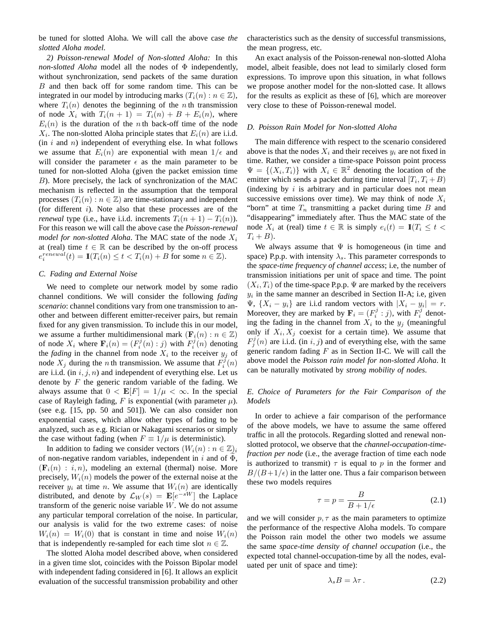be tuned for slotted Aloha. We will call the above case *the slotted Aloha model*.

*2) Poisson-renewal Model of Non-slotted Aloha:* In this *non-slotted Aloha* model all the nodes of Φ independently, without synchronization, send packets of the same duration B and then back off for some random time. This can be integrated in our model by introducing marks  $(T_i(n) : n \in \mathbb{Z})$ , where  $T_i(n)$  denotes the beginning of the *n*th transmission of node  $X_i$  with  $T_i(n + 1) = T_i(n) + B + E_i(n)$ , where  $E_i(n)$  is the duration of the *n* th back-off time of the node  $X_i$ . The non-slotted Aloha principle states that  $E_i(n)$  are i.i.d. (in  $i$  and  $n$ ) independent of everything else. In what follows we assume that  $E_i(n)$  are exponential with mean  $1/\epsilon$  and will consider the parameter  $\epsilon$  as the main parameter to be tuned for non-slotted Aloha (given the packet emission time B). More precisely, the lack of synchronization of the MAC mechanism is reflected in the assumption that the temporal processes  $(T_i(n) : n \in \mathbb{Z})$  are time-stationary and independent (for different i). Note also that these processes are of the *renewal* type (i.e., have i.i.d. increments  $T_i(n+1) - T_i(n)$ ). For this reason we will call the above case the *Poisson-renewal model for non-slotted Aloha*. The MAC state of the node  $X_i$ at (real) time  $t \in \mathbb{R}$  can be described by the on-off process  $e_i^{renewal}(t) = \mathbb{I}(T_i(n) \le t < T_i(n) + B$  for some  $n \in \mathbb{Z}$ ).

#### *C. Fading and External Noise*

We need to complete our network model by some radio channel conditions. We will consider the following *fading scenario*: channel conditions vary from one transmission to another and between different emitter-receiver pairs, but remain fixed for any given transmission. To include this in our model, we assume a further multidimensional mark  $(\mathbf{F}_i(n) : n \in \mathbb{Z})$ of node  $X_i$  where  $\mathbf{F}_i(n) = (F_i^j(n) : j)$  with  $F_i^j(n)$  denoting the *fading* in the channel from node  $X_i$  to the receiver  $y_j$  of node  $X_j$  during the *n* th transmission. We assume that  $F_i^j(n)$ are i.i.d. (in  $i, j, n$ ) and independent of everything else. Let us denote by  $F$  the generic random variable of the fading. We always assume that  $0 < E[F] = 1/\mu < \infty$ . In the special case of Rayleigh fading, F is exponential (with parameter  $\mu$ ). (see e.g. [15, pp. 50 and 501]). We can also consider non exponential cases, which allow other types of fading to be analyzed, such as e.g. Rician or Nakagami scenarios or simply the case without fading (when  $F \equiv 1/\mu$  is deterministic).

In addition to fading we consider vectors  $(W_i(n) : n \in \mathbb{Z})_i$ of non-negative random variables, independent in i and of  $\Phi$ ,  $(\mathbf{F}_i(n) : i, n)$ , modeling an external (thermal) noise. More precisely,  $W_i(n)$  models the power of the external noise at the receiver  $y_i$  at time n. We assume that  $W_i(n)$  are identically distributed, and denote by  $\mathcal{L}_W(s) = \mathbf{E}[e^{-sW}]$  the Laplace transform of the generic noise variable  $W$ . We do not assume any particular temporal correlation of the noise. In particular, our analysis is valid for the two extreme cases: of noise  $W_i(n) = W_i(0)$  that is constant in time and noise  $W_i(n)$ that is independently re-sampled for each time slot  $n \in \mathbb{Z}$ .

The slotted Aloha model described above, when considered in a given time slot, coincides with the Poisson Bipolar model with independent fading considered in [6]. It allows an explicit evaluation of the successful transmission probability and other characteristics such as the density of successful transmissions, the mean progress, etc.

An exact analysis of the Poisson-renewal non-slotted Aloha model, albeit feasible, does not lead to similarly closed form expressions. To improve upon this situation, in what follows we propose another model for the non-slotted case. It allows for the results as explicit as these of [6], which are moreover very close to these of Poisson-renewal model.

#### *D. Poisson Rain Model for Non-slotted Aloha*

The main difference with respect to the scenario considered above is that the nodes  $X_i$  and their receives  $y_i$  are not fixed in time. Rather, we consider a time-space Poisson point process  $\Psi = \{(X_i, T_i)\}\$  with  $X_i \in \mathbb{R}^2$  denoting the location of the emitter which sends a packet during time interval  $[T_i, T_i + B)$ (indexing by  $i$  is arbitrary and in particular does not mean successive emissions over time). We may think of node  $X_i$ "born" at time  $T_n$  transmitting a packet during time  $B$  and "disappearing" immediately after. Thus the MAC state of the node  $X_i$  at (real) time  $t \in \mathbb{R}$  is simply  $e_i(t) = \mathbb{I}(T_i \leq t <$  $T_i + B$ ).

We always assume that  $\Psi$  is homogeneous (in time and space) P.p.p. with intensity  $\lambda_s$ . This parameter corresponds to the *space-time frequency of channel access*; i.e, the number of transmission initiations per unit of space and time. The point  $(X_i, T_i)$  of the time-space P.p.p.  $\Psi$  are marked by the receivers  $y_i$  in the same manner an described in Section II-A; i.e, given  $\Psi$ ,  $\{X_i - y_i\}$  are i.i.d random vectors with  $|X_i - y_i| = r$ . Moreover, they are marked by  $\mathbf{F}_i = (F_i^j : j)$ , with  $F_i^j$  denoting the fading in the channel from  $X_i$  to the  $y_j$  (meaningful only if  $X_i, X_j$  coexist for a certain time). We assume that  $F_j^j(n)$  are i.i.d. (in i, j) and of everything else, with the same generic random fading  $F$  as in Section II-C. We will call the above model the *Poisson rain model for non-slotted Aloha*. It can be naturally motivated by *strong mobility of nodes*.

#### *E. Choice of Parameters for the Fair Comparison of the Models*

In order to achieve a fair comparison of the performance of the above models, we have to assume the same offered traffic in all the protocols. Regarding slotted and renewal nonslotted protocol, we observe that the *channel-occupation-timefraction per node* (i.e., the average fraction of time each node is authorized to transmit)  $\tau$  is equal to p in the former and  $B/(B+1/\epsilon)$  in the latter one. Thus a fair comparison between these two models requires

$$
\tau = p = \frac{B}{B + 1/\epsilon} \tag{2.1}
$$

and we will consider  $p, \tau$  as the main parameters to optimize the performance of the respective Aloha models. To compare the Poisson rain model the other two models we assume the same *space-time density of channel occupation* (i.e., the expected total channel-occupation-time by all the nodes, evaluated per unit of space and time):

$$
\lambda_s B = \lambda \tau \,. \tag{2.2}
$$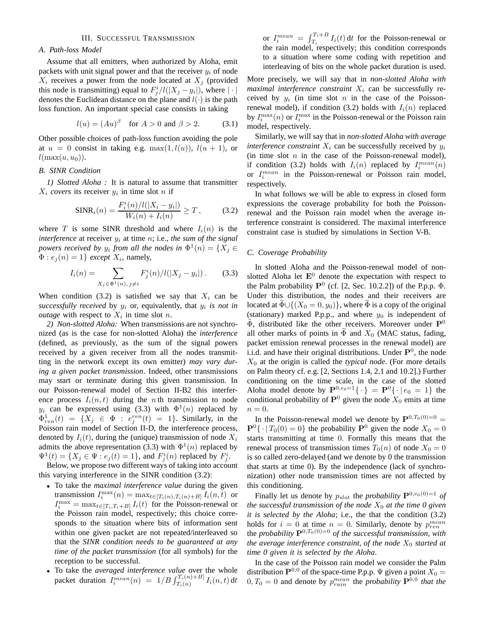#### III. SUCCESSFUL TRANSMISSION

#### *A. Path-loss Model*

Assume that all emitters, when authorized by Aloha, emit packets with unit signal power and that the receiver  $y_i$  of node  $X_i$  receives a power from the node located at  $X_i$  (provided this node is transmitting) equal to  $F_j^i/(|X_j - y_i|)$ , where  $|\cdot|$ denotes the Euclidean distance on the plane and  $l(\cdot)$  is the path loss function. An important special case consists in taking

$$
l(u) = (Au)^{\beta} \quad \text{for } A > 0 \text{ and } \beta > 2. \tag{3.1}
$$

Other possible choices of path-loss function avoiding the pole at  $u = 0$  consist in taking e.g.  $\max(1, l(u))$ ,  $l(u + 1)$ , or  $l(\max(u, u_0))$ .

#### *B. SINR Condition*

*1) Slotted Aloha :* It is natural to assume that transmitter  $X_i$  *covers* its receiver  $y_i$  in time slot n if

$$
\text{SINR}_{i}(n) = \frac{F_{i}^{i}(n)/l(|X_{i} - y_{i}|)}{W_{i}(n) + I_{i}(n)} \geq T, \qquad (3.2)
$$

where T is some SINR threshold and where  $I_i(n)$  is the *interference* at receiver  $y_i$  at time n; i.e., the sum of the signal *powers received by*  $y_i$  *from all the nodes in*  $\Phi^1(n) = \{X_j \in$  $\Phi: e_j(n) = 1$  *except*  $X_i$ , namely,

$$
I_i(n) = \sum_{X_j \in \Phi^1(n), j \neq i} F_j^i(n) / l(|X_j - y_i|). \tag{3.3}
$$

When condition (3.2) is satisfied we say that  $X_i$  can be successfully received by  $y_i$  or, equivalently, that  $y_i$  is not in *outage* with respect to  $X_i$  in time slot n.

*2) Non-slotted Aloha:* When transmissions are not synchronized (as is the case for non-slotted Aloha) the *interference* (defined, as previously, as the sum of the signal powers received by a given receiver from all the nodes transmitting in the network except its own emitter) *may vary during a given packet transmission*. Indeed, other transmissions may start or terminate during this given transmission. In our Poisson-renewal model of Section II-B2 this interference process  $I_i(n, t)$  during the *n*th transmission to node  $y_i$  can be expressed using (3.3) with  $\Phi^1(n)$  replaced by  $\Phi_{ren}^1(t) = \{X_j \in \Phi : e_j^{ren}(t) = 1\}.$  Similarly, in the Poisson rain model of Section II-D, the interference process, denoted by  $I_i(t)$ , during the (unique) transmission of node  $X_i$ admits the above representation (3.3) with  $\Phi^1(n)$  replaced by  $\Psi^1(t) = \{X_j \in \Psi : e_j(t) = 1\}$ , and  $F^i_j(n)$  replaced by  $F^i_j$ .

Below, we propose two different ways of taking into account this varying interference in the SINR condition (3.2):

- To take the *maximal interference value* during the given transmission  $I_i^{\max}(n) = \max_{t \in [T_i(n), T_i(n) + B]} I_i(n, t)$  or  $I_i^{\max} = \max_{t \in [T_i, T_i + B]} I_i(t)$  for the Poisson-renewal or the Poisson rain model, respectively; this choice corresponds to the situation where bits of information sent within one given packet are not repeated/interleaved so that the *SINR condition needs to be guaranteed at any time of the packet transmission* (for all symbols) for the reception to be successful.
- To take the *averaged interference value* over the whole packet duration  $\overline{I_i^{mean}(n)} = 1/B \int_{T_i(n)}^{T_i(n)+B} I_i(n,t) dt$

or  $I_i^{mean} = \int_{T_i}^{T_i+B} I_i(t) dt$  for the Poisson-renewal or the rain model, respectively; this condition corresponds to a situation where some coding with repetition and interleaving of bits on the whole packet duration is used.

More precisely, we will say that in *non-slotted Aloha with maximal interference constraint*  $X_i$  can be successfully received by  $y_i$  (in time slot n in the case of the Poissonrenewal model), if condition (3.2) holds with  $I_i(n)$  replaced by  $I_i^{\max}(n)$  or  $I_i^{\max}$  in the Poisson-renewal or the Poisson rain model, respectively.

Similarly, we will say that in *non-slotted Aloha with average interference constraint*  $X_i$  can be successfully received by  $y_i$ (in time slot  $n$  in the case of the Poisson-renewal model), if condition (3.2) holds with  $I_i(n)$  replaced by  $I_i^{mean}(n)$ or  $I_i^{mean}$  in the Poisson-renewal or Poisson rain model, respectively.

In what follows we will be able to express in closed form expressions the coverage probability for both the Poissonrenewal and the Poisson rain model when the average interference constraint is considered. The maximal interference constraint case is studied by simulations in Section V-B.

#### *C. Coverage Probability*

In slotted Aloha and the Poisson-renewal model of nonslotted Aloha let  $E^0$  denote the expectation with respect to the Palm probability  $\mathbf{P}^0$  (cf. [2, Sec. 10.2.2]) of the P.p.p.  $\Phi$ . Under this distribution, the nodes and their receivers are located at  $\Phi \cup \{(X_0 = 0, y_0)\}\,$ , where  $\Phi$  is a copy of the original (stationary) marked P.p.p., and where  $y_0$  is independent of  $\Phi$ , distributed like the other receivers. Moreover under  $\mathbf{P}^0$ all other marks of points in  $\overline{\Phi}$  and  $X_0$  (MAC status, fading, packet emission renewal processes in the renewal model) are i.i.d. and have their original distributions. Under  $\mathbf{P}^0$ , the node X<sup>0</sup> at the origin is called the *typical node*. (For more details on Palm theory cf. e.g. [2, Sections 1.4, 2.1 and 10.2].) Further conditioning on the time scale, in the case of the slotted Aloha model denote by  $\mathbf{P}^{0,e_0=1}\{\cdot\} = \mathbf{P}^{0}\{\cdot | e_0 = 1\}$  the conditional probability of  $\mathbf{P}^0$  given the node  $X_0$  emits at time  $n = 0$ .

In the Poisson-renewal model we denote by  $\mathbf{P}^{0,T_0(0)=0}$  =  $\mathbf{P}^0\{\cdot | T_0(0) = 0\}$  the probability  $\mathbf{P}^0$  given the node  $X_0 = 0$ starts transmitting at time 0. Formally this means that the renewal process of transmission times  $T_0(n)$  of node  $X_0 = 0$ is so called zero-delayed (and we denote by 0 the transmission that starts at time 0). By the independence (lack of synchronization) other node transmission times are not affected by this conditioning.

Finally let us denote by  $p_{slot}$  the *probability*  $\mathbf{P}^{0,e_0(0)=1}$  of *the successful transmission of the node*  $X_0$  *at the time* 0 given *it is selected by the Aloha*; i.e., the that the condition (3.2) holds for  $i = 0$  at time  $n = 0$ . Similarly, denote by  $p_{ren}^{mean}$ the *probability*  $\mathbf{P}^{0,T_0(0)=0}$  of the successful transmission, with *the average interference constraint, of the node*  $X_0$  *started at time 0 given it is selected by the Aloha*.

In the case of the Poisson rain model we consider the Palm distribution  $\mathbf{P}^{0,0}$  of the space-time P.p.p.  $\Psi$  given a point  $X_0 =$  $0, T_0 = 0$  and denote by  $p_{rain}^{mean}$  the *probability*  $\mathbf{P}^{0,0}$  that the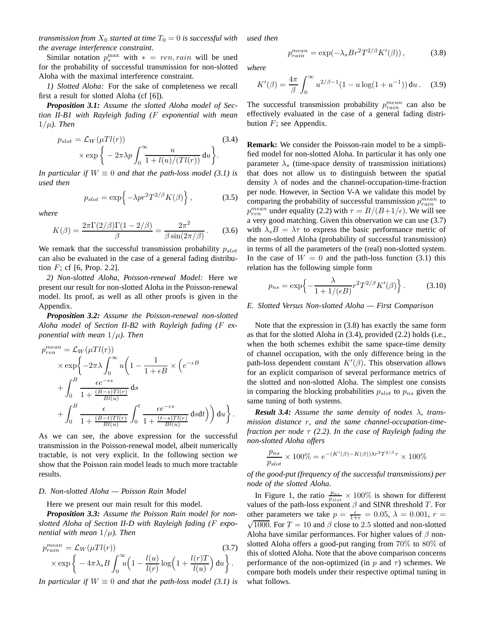*transmission from*  $X_0$  *started at time*  $T_0 = 0$  *is successful with the average interference constraint*.

Similar notation  $p_{\ast}^{\max}$  with  $* = ren, rain$  will be used for the probability of successful transmission for non-slotted Aloha with the maximal interference constraint.

*1) Slotted Aloha:* For the sake of completeness we recall first a result for slotted Aloha (cf [6]).

*Proposition 3.1: Assume the slotted Aloha model of Section II-B1 with Rayleigh fading (*F *exponential with mean*  $1/\mu$ *). Then* 

$$
p_{slot} = \mathcal{L}_W(\mu T l(r))
$$
  
 
$$
\times \exp \left\{-2\pi\lambda p \int_0^\infty \frac{u}{1 + l(u)/(Tl(r))} du\right\}.
$$
 (3.4)

*In particular if*  $W \equiv 0$  *and that the path-loss model* (3.1) *is used then*

$$
p_{slot} = \exp\left\{-\lambda pr^2 T^{2/\beta} K(\beta)\right\},\qquad(3.5)
$$

*where*

$$
K(\beta) = \frac{2\pi\Gamma(2/\beta)\Gamma(1 - 2/\beta)}{\beta} = \frac{2\pi^2}{\beta\sin(2\pi/\beta)}.
$$
 (3.6)

We remark that the successful transmission probability  $p_{slot}$ can also be evaluated in the case of a general fading distribution  $F$ ; cf [6, Prop. 2.2].

*2) Non-slotted Aloha, Poisson-renewal Model:* Here we present our result for non-slotted Aloha in the Poisson-renewal model. Its proof, as well as all other proofs is given in the Appendix.

*Proposition 3.2: Assume the Poisson-renewal non-slotted Aloha model of Section II-B2 with Rayleigh fading (*F *exponential with mean*  $1/\mu$ *). Then* 

$$
p_{ren}^{mean} = \mathcal{L}_W(\mu T l(r))
$$
  
\n
$$
\times \exp \left\{-2\pi \lambda \int_0^\infty u \left(1 - \frac{1}{1 + \epsilon B} \times \left(e^{-\epsilon B}\right)\right)\right\} dt
$$
  
\n
$$
+ \int_0^B \frac{\epsilon e^{-\epsilon s}}{1 + \frac{(B - s)Tl(r)}{Bl(u)}} ds
$$
  
\n
$$
+ \int_0^B \frac{\epsilon}{1 + \frac{(B - t)Tl(r)}{Bl(u)}} \int_0^t \frac{\epsilon e^{-\epsilon s}}{1 + \frac{(t - s)Tl(r)}{Bl(u)}} ds dt \right) du
$$
.

As we can see, the above expression for the successful transmission in the Poisson-renewal model, albeit numerically tractable, is not very explicit. In the following section we show that the Poisson rain model leads to much more tractable results.

#### *D. Non-slotted Aloha — Poisson Rain Model*

Here we present our main result for this model.

*Proposition 3.3: Assume the Poisson Rain model for nonslotted Aloha of Section II-D with Rayleigh fading (*F *exponential with mean* 1/µ*). Then*

$$
p_{rain}^{mean} = \mathcal{L}_W(\mu T l(r))
$$
\n
$$
\times \exp\left\{-4\pi\lambda_s B \int_0^\infty u\left(1 - \frac{l(u)}{l(r)}\log\left(1 + \frac{l(r)T}{l(u)}\right) \mathrm{d}u\right\}.
$$
\n(3.7)

*In particular if*  $W \equiv 0$  *and that the path-loss model* (3.1) *is* 

*used then*

$$
p_{rain}^{mean} = \exp(-\lambda_s Br^2 T^{2/\beta} K'(\beta)), \qquad (3.8)
$$

*where*

$$
K'(\beta) = \frac{4\pi}{\beta} \int_0^\infty u^{2/\beta - 1} (1 - u \log(1 + u^{-1})) \, \mathrm{d}u \,. \tag{3.9}
$$

The successful transmission probability  $p_{rain}^{mean}$  can also be effectively evaluated in the case of a general fading distribution  $F$ ; see Appendix.

**Remark:** We consider the Poisson-rain model to be a simplified model for non-slotted Aloha. In particular it has only one parameter  $\lambda_s$  (time-space density of transmission initiations) that does not allow us to distinguish between the spatial density  $\lambda$  of nodes and the channel-occupation-time-fraction per node. However, in Section V-A we validate this model by comparing the probability of successful transmission  $p_{rain}^{mean}$  to  $p_{ren}^{mean}$  under equality (2.2) with  $\tau = B/(B+1/\epsilon)$ . We will see a very good matching. Given this observation we can use (3.7) with  $\lambda_s B = \lambda \tau$  to express the basic performance metric of the non-slotted Aloha (probability of successful transmission) in terms of all the parameters of the (real) non-slotted system. In the case of  $W = 0$  and the path-loss function (3.1) this relation has the following simple form

$$
p_{ns} = \exp\left\{-\frac{\lambda}{1 + 1/(\epsilon B)} r^2 T^{2/\beta} K'(\beta)\right\}.
$$
 (3.10)

#### *E. Slotted Versus Non-slotted Aloha — First Comparison*

Note that the expression in (3.8) has exactly the same form as that for the slotted Aloha in (3.4), provided (2.2) holds (i.e., when the both schemes exhibit the same space-time density of channel occupation, with the only difference being in the path-loss dependent constant  $K'(\beta)$ . This observation allows for an explicit comparison of several performance metrics of the slotted and non-slotted Aloha. The simplest one consists in comparing the blocking probabilities  $p_{slot}$  to  $p_{ns}$  given the same tuning of both systems.

*Result 3.4: Assume the same density of nodes* λ*, transmission distance* r*, and the same channel-occupation-timefraction per node* τ *(2.2). In the case of Rayleigh fading the non-slotted Aloha offers*

$$
\frac{p_{ns}}{p_{slot}} \times 100\% = e^{-(K'(\beta) - K(\beta))\lambda r^2 T^{2/\beta} \tau} \times 100\%
$$

*of the good-put (frequency of the successful transmissions) per node of the slotted Aloha.*

In Figure 1, the ratio  $\frac{p_{ns}}{p_{slot}} \times 100\%$  is shown for different values of the path-loss exponent  $\beta$  and SINR threshold T. For other parameters we take  $p = \frac{\epsilon}{1+\epsilon} = 0.05$ ,  $\lambda = 0.001$ ,  $r = \sqrt{1000}$ . For  $T = 10$  and  $\beta$  close to 2.5 slotted and non-slotted  $\sqrt{1000}$ . For  $T = 10$  and  $\beta$  close to 2.5 slotted and non-slotted Aloha have similar performances. For higher values of  $\beta$  nonslotted Aloha offers a good-put ranging from 70% to 80% of this of slotted Aloha. Note that the above comparison concerns performance of the non-optimized (in p and  $\tau$ ) schemes. We compare both models under their respective optimal tuning in what follows.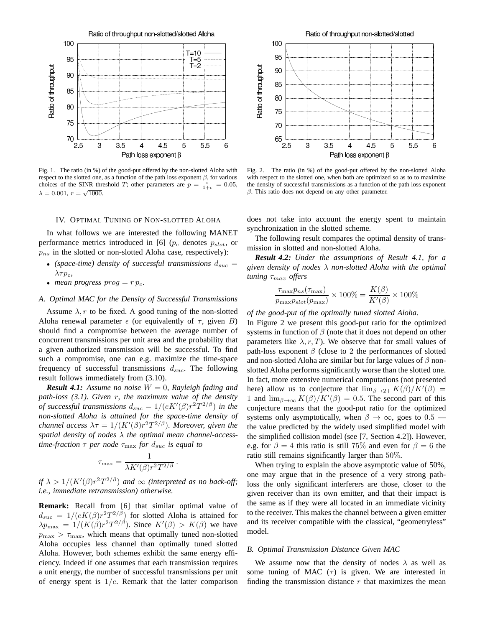

Fig. 1. The ratio (in %) of the good-put offered by the non-slotted Aloha with respect to the slotted one, as a function of the path loss exponent  $\beta$ , for various choices of the SINR threshold T; other parameters are  $p = \frac{\epsilon}{1+\epsilon} = 0.05$ ,  $\lambda = 0.001, r = \sqrt{1000}.$ 

#### IV. OPTIMAL TUNING OF NON-SLOTTED ALOHA

In what follows we are interested the following MANET performance metrics introduced in [6] ( $p_c$  denotes  $p_{slot}$ , or  $p_{ns}$  in the slotted or non-slotted Aloha case, respectively):

- *(space-time) density of successful transmissions*  $d_{suc}$  =  $\lambda \tau p_c$ ,
- *mean progress*  $prog = r p_c$ .

#### *A. Optimal MAC for the Density of Successful Transmissions*

Assume  $\lambda$ , r to be fixed. A good tuning of the non-slotted Aloha renewal parameter  $\epsilon$  (or equivalently of  $\tau$ , given B) should find a compromise between the average number of concurrent transmissions per unit area and the probability that a given authorized transmission will be successful. To find such a compromise, one can e.g. maximize the time-space frequency of successful transmissions  $d_{suc}$ . The following result follows immediately from (3.10).

*Result 4.1:* Assume no noise  $W = 0$ , Rayleigh fading and *path-loss (3.1). Given* r*, the maximum value of the density of successful transmissions*  $d_{suc} = 1/(eK'(\beta)r^2T^{2/\beta})$  *in the non-slotted Aloha is attained for the space-time density of channel access*  $\lambda \tau = 1/(K'(\beta) r^2 T^{2/\beta})$ *. Moreover, given the spatial density of nodes* λ *the optimal mean channel-accesstime-fraction*  $\tau$  *per node*  $\tau_{\text{max}}$  *for*  $d_{\text{succ}}$  *is equal to* 

$$
\tau_{\text{max}} = \frac{1}{\lambda K'(\beta) r^2 T^{2/\beta}} \,.
$$

*if*  $\lambda > 1/(K'(\beta)r^2T^{2/\beta})$  *and*  $\infty$  *(interpreted as no back-off; i.e., immediate retransmission) otherwise.*

**Remark:** Recall from [6] that similar optimal value of  $d_{suc} = 1/(eK(\beta)r^2T^{2/\beta})$  for slotted Aloha is attained for  $\lambda p_{\text{max}} = 1/(K(\beta)r^2T^{2/\beta})$ . Since  $K'(\beta) > K(\beta)$  we have  $p_{\text{max}} > \tau_{\text{max}}$ , which means that optimally tuned non-slotted Aloha occupies less channel than optimally tuned slotted Aloha. However, both schemes exhibit the same energy efficiency. Indeed if one assumes that each transmission requires a unit energy, the number of successful transmissions per unit of energy spent is  $1/e$ . Remark that the latter comparison



Fig. 2. The ratio (in %) of the good-put offered by the non-slotted Aloha with respect to the slotted one, when both are optimized so as to to maximize the density of successful transmissions as a function of the path loss exponent  $\beta$ . This ratio does not depend on any other parameter.

does not take into account the energy spent to maintain synchronization in the slotted scheme.

The following result compares the optimal density of transmission in slotted and non-slotted Aloha.

*Result 4.2: Under the assumptions of Result 4.1, for a given density of nodes* λ *non-slotted Aloha with the optimal tuning*  $τ_{max}$  *offers* 

$$
\frac{\tau_{\max} p_{ns}(\tau_{\max})}{p_{\max} p_{slot}(p_{\max})} \times 100\% = \frac{K(\beta)}{K'(\beta)} \times 100\%
$$

*of the good-put of the optimally tuned slotted Aloha.*

In Figure 2 we present this good-put ratio for the optimized systems in function of  $\beta$  (note that it does not depend on other parameters like  $\lambda$ , r, T). We observe that for small values of path-loss exponent  $\beta$  (close to 2 the performances of slotted and non-slotted Aloha are similar but for large values of  $\beta$  nonslotted Aloha performs significantly worse than the slotted one. In fact, more extensive numerical computations (not presented here) allow us to conjecture that  $\lim_{\beta \to 2+} K(\beta)/K'(\beta) =$ 1 and  $\lim_{\beta \to \infty} K(\beta)/K'(\beta) = 0.5$ . The second part of this conjecture means that the good-put ratio for the optimized systems only asymptotically, when  $\beta \to \infty$ , goes to 0.5 the value predicted by the widely used simplified model with the simplified collision model (see [7, Section 4.2]). However, e.g. for  $\beta = 4$  this ratio is still 75% and even for  $\beta = 6$  the ratio still remains significantly larger than 50%.

When trying to explain the above asymptotic value of 50%, one may argue that in the presence of a very strong pathloss the only significant interferers are those, closer to the given receiver than its own emitter, and that their impact is the same as if they were all located in an immediate vicinity to the receiver. This makes the channel between a given emitter and its receiver compatible with the classical, "geometryless" model.

#### *B. Optimal Transmission Distance Given MAC*

We assume now that the density of nodes  $\lambda$  as well as some tuning of MAC  $(\tau)$  is given. We are interested in finding the transmission distance  $r$  that maximizes the mean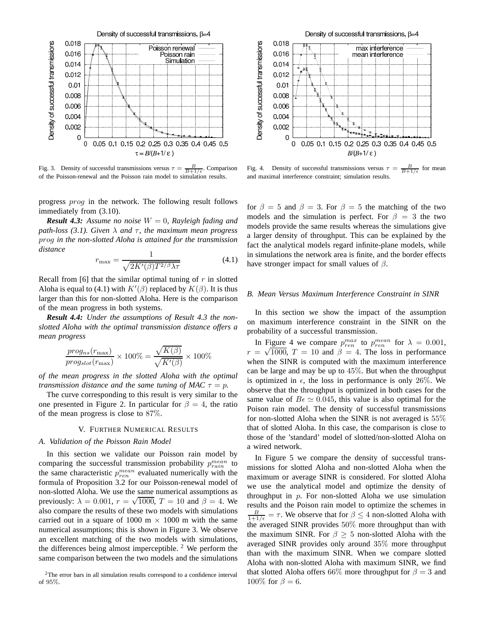

Fig. 3. Density of successful transmissions versus  $\tau = \frac{B}{B+1/\epsilon}$ . Comparison of the Poisson-renewal and the Poisson rain model to simulation results.

progress prog in the network. The following result follows immediately from (3.10).

*Result 4.3: Assume no noise* W = 0*, Rayleigh fading and path-loss (3.1). Given* λ *and* τ*, the maximum mean progress* prog *in the non-slotted Aloha is attained for the transmission distance*

$$
r_{\text{max}} = \frac{1}{\sqrt{2K'(\beta)T^{2/\beta}\lambda\tau}}
$$
(4.1)

Recall from [6] that the similar optimal tuning of  $r$  in slotted Aloha is equal to (4.1) with  $K'(\beta)$  replaced by  $K(\beta)$ . It is thus larger than this for non-slotted Aloha. Here is the comparison of the mean progress in both systems.

*Result 4.4: Under the assumptions of Result 4.3 the nonslotted Aloha with the optimal transmission distance offers a mean progress*

$$
\frac{prog_{ns}(r_{\max})}{prog_{slot}(r_{\max})} \times 100\% = \frac{\sqrt{K(\beta)}}{\sqrt{K'(\beta)}} \times 100\%
$$

*of the mean progress in the slotted Aloha with the optimal transmission distance and the same tuning of MAC*  $\tau = p$ .

The curve corresponding to this result is very similar to the one presented in Figure 2. In particular for  $\beta = 4$ , the ratio of the mean progress is close to 87%.

#### V. FURTHER NUMERICAL RESULTS

#### *A. Validation of the Poisson Rain Model*

In this section we validate our Poisson rain model by comparing the successful transmission probability  $p_{rain}^{mean}$  to the same characteristic  $p_{ren}^{mean}$  evaluated numerically with the formula of Proposition 3.2 for our Poisson-renewal model of non-slotted Aloha. We use the same numerical assumptions as previously:  $\lambda = 0.001$ ,  $r = \sqrt{1000}$ ,  $T = 10$  and  $\beta = 4$ . We also compare the results of these two models with simulations carried out in a square of 1000 m  $\times$  1000 m with the same numerical assumptions; this is shown in Figure 3. We observe an excellent matching of the two models with simulations, the differences being almost imperceptible.  $2$  We perform the same comparison between the two models and the simulations



Fig. 4. Density of successful transmissions versus  $\tau = \frac{B}{B+1/\epsilon}$  for mean and maximal interference constraint; simulation results.

for  $\beta = 5$  and  $\beta = 3$ . For  $\beta = 5$  the matching of the two models and the simulation is perfect. For  $\beta = 3$  the two models provide the same results whereas the simulations give a larger density of throughput. This can be explained by the fact the analytical models regard infinite-plane models, while in simulations the network area is finite, and the border effects have stronger impact for small values of  $\beta$ .

#### *B. Mean Versus Maximum Interference Constraint in SINR*

In this section we show the impact of the assumption on maximum interference constraint in the SINR on the probability of a successful transmission.

In Figure 4 we compare  $p_{ren}^{max}$  to  $p_{ren}^{mean}$  for  $\lambda = 0.001$ ,  $r = \sqrt{1000}$ ,  $T = 10$  and  $\beta = 4$ . The loss in performance when the SINR is computed with the maximum interference can be large and may be up to  $45\%$ . But when the throughput is optimized in  $\epsilon$ , the loss in performance is only 26%. We observe that the throughput is optimized in both cases for the same value of  $B\epsilon \simeq 0.045$ , this value is also optimal for the Poison rain model. The density of successful transmissions for non-slotted Aloha when the SINR is not averaged is 55% that of slotted Aloha. In this case, the comparison is close to those of the 'standard' model of slotted/non-slotted Aloha on a wired network.

In Figure 5 we compare the density of successful transmissions for slotted Aloha and non-slotted Aloha when the maximum or average SINR is considered. For slotted Aloha we use the analytical model and optimize the density of throughput in  $p$ . For non-slotted Aloha we use simulation results and the Poison rain model to optimize the schemes in  $\frac{B}{1+1/\epsilon} = \tau$ . We observe that for  $\beta \le 4$  non-slotted Aloha with the averaged SINR provides 50% more throughput than with the maximum SINR. For  $\beta \geq 5$  non-slotted Aloha with the averaged SINR provides only around 35% more throughput than with the maximum SINR. When we compare slotted Aloha with non-slotted Aloha with maximum SINR, we find that slotted Aloha offers 66% more throughput for  $\beta = 3$  and 100\% for  $\beta = 6$ .

<sup>2</sup>The error bars in all simulation results correspond to a confidence interval of 95%.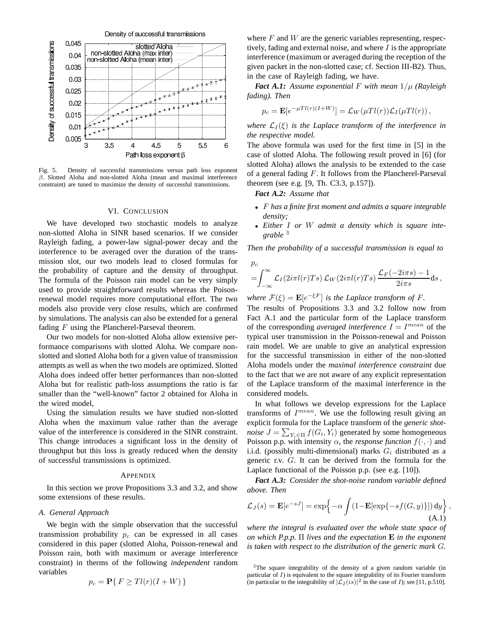

Fig. 5. Density of successful transmissions versus path loss exponent β. Slotted Aloha and non-slotted Aloha (mean and maximal interference constraint) are tuned to maximize the density of successful transmissions.

#### VI. CONCLUSION

We have developed two stochastic models to analyze non-slotted Aloha in SINR based scenarios. If we consider Rayleigh fading, a power-law signal-power decay and the interference to be averaged over the duration of the transmission slot, our two models lead to closed formulas for the probability of capture and the density of throughput. The formula of the Poisson rain model can be very simply used to provide straightforward results whereas the Poisonrenewal model requires more computational effort. The two models also provide very close results, which are confirmed by simulations. The analysis can also be extended for a general fading F using the Plancherel-Parseval theorem.

Our two models for non-slotted Aloha allow extensive performance comparisons with slotted Aloha. We compare nonslotted and slotted Aloha both for a given value of transmission attempts as well as when the two models are optimized. Slotted Aloha does indeed offer better performances than non-slotted Aloha but for realistic path-loss assumptions the ratio is far smaller than the "well-known" factor 2 obtained for Aloha in the wired model,

Using the simulation results we have studied non-slotted Aloha when the maximum value rather than the average value of the interference is considered in the SINR constraint. This change introduces a significant loss in the density of throughput but this loss is greatly reduced when the density of successful transmissions is optimized.

#### APPENDIX

In this section we prove Propositions 3.3 and 3.2, and show some extensions of these results.

#### *A. General Approach*

We begin with the simple observation that the successful transmission probability  $p_c$  can be expressed in all cases considered in this paper (slotted Aloha, Poisson-renewal and Poisson rain, both with maximum or average interference constraint) in therms of the following *independent* random variables

$$
p_c = \mathbf{P}\{F \geq Tl(r)(I+W)\}
$$

where  $F$  and  $W$  are the generic variables representing, respectively, fading and external noise, and where  $I$  is the appropriate interference (maximum or averaged during the reception of the given packet in the non-slotted case; cf. Section III-B2). Thus, in the case of Rayleigh fading, we have.

*Fact A.1: Assume exponential* F *with mean* 1/µ *(Rayleigh fading). Then*

$$
p_c = \mathbf{E}[e^{-\mu T l(r)(I+W)}] = \mathcal{L}_W(\mu T l(r)) \mathcal{L}_I(\mu T l(r)),
$$

*where*  $\mathcal{L}_I(\xi)$  *is the Laplace transform of the interference in the respective model.*

The above formula was used for the first time in [5] in the case of slotted Aloha. The following result proved in [6] (for slotted Aloha) allows the analysis to be extended to the case of a general fading  $F$ . It follows from the Plancherel-Parseval theorem (see e.g. [9, Th. C3.3, p.157]).

*Fact A.2: Assume that*

- F *has a finite first moment and admits a square integrable density;*
- *Either* I *or* W *admit a density which is square integrable* <sup>3</sup>

*Then the probability of a successful transmission is equal to*

$$
\begin{aligned} &\frac{p_c}{2} = \int_{-\infty}^{\infty} \mathcal{L}_I(2i\pi l(r)Ts) \, \mathcal{L}_W(2i\pi l(r)Ts) \, \frac{\mathcal{L}_F(-2i\pi s) - 1}{2i\pi s} \, \mathrm{d}s \,, \end{aligned}
$$

*where*  $\mathcal{F}(\xi) = \mathbf{E}[e^{-\xi F}]$  *is the Laplace transform of F*.

The results of Propositions 3.3 and 3.2 follow now from Fact A.1 and the particular form of the Laplace transform of the corresponding *averaged interference*  $I = I^{mean}$  of the typical user transmission in the Poisson-renewal and Poisson rain model. We are unable to give an analytical expression for the successful transmission in either of the non-slotted Aloha models under the *maximal interference constraint* due to the fact that we are not aware of any explicit representation of the Laplace transform of the maximal interference in the considered models.

In what follows we develop expressions for the Laplace transforms of  $I^{mean}$ . We use the following result giving an explicit formula for the Laplace transform of the *generic shotnoise*  $J = \sum_{Y_i \in \Pi} f(G_i, Y_i)$  generated by some homogeneous Poisson p.p. with intensity  $\alpha$ , the *response function*  $f(\cdot, \cdot)$  and i.i.d. (possibly multi-dimensional) marks  $G_i$  distributed as a generic r.v. G. It can be derived from the formula for the Laplace functional of the Poisson p.p. (see e.g. [10]).

*Fact A.3: Consider the shot-noise random variable defined above. Then*

$$
\mathcal{L}_J(s) = \mathbf{E}[e^{-sJ}] = \exp\left\{-\alpha \int (1 - \mathbf{E}[\exp\{-sf(G,y)\}]) dy\right\},\tag{A.1}
$$

*where the integral is evaluated over the whole state space of on which P.p.p.* Π *lives and the expectation* E *in the exponent is taken with respect to the distribution of the generic mark* G*.*

<sup>&</sup>lt;sup>3</sup>The square integrability of the density of a given random variable (in particular of  $I$ ) is equivalent to the square integrability of its Fourier transform (in particular to the integrability of  $|\mathcal{L}_I(is)|^2$  in the case of *I*); see [11, p.510].